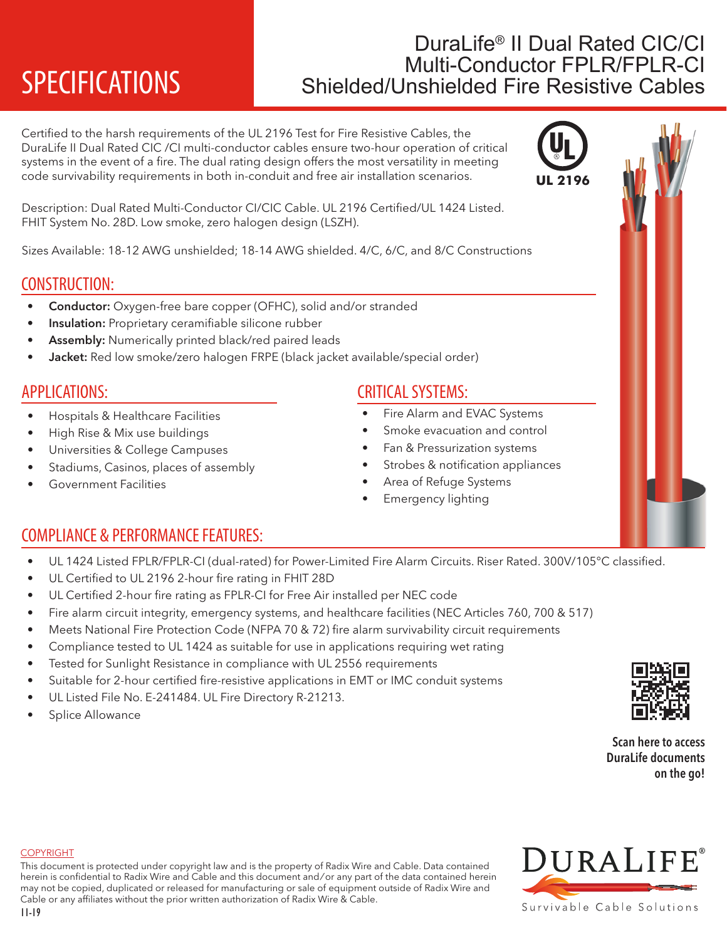# DuraLife<sup>®</sup> II Dual Rated CIC/CI<br>Multi-Conductor FPLR/FPLR-CI SPECIFICATIONS Shielded/Unshielded Fire Resistive Cables

Certified to the harsh requirements of the UL 2196 Test for Fire Resistive Cables, the DuraLife II Dual Rated CIC /CI multi-conductor cables ensure two-hour operation of critical systems in the event of a fire. The dual rating design offers the most versatility in meeting code survivability requirements in both in-conduit and free air installation scenarios.

Description: Dual Rated Multi-Conductor CI/CIC Cable. UL 2196 Certified/UL 1424 Listed. FHIT System No. 28D. Low smoke, zero halogen design (LSZH).

Sizes Available: 18-12 AWG unshielded; 18-14 AWG shielded. 4/C, 6/C, and 8/C Constructions

# CONSTRUCTION:

- Conductor: Oxygen-free bare copper (OFHC), solid and/or stranded
- Insulation: Proprietary ceramifiable silicone rubber
- Assembly: Numerically printed black/red paired leads
- Jacket: Red low smoke/zero halogen FRPE (black jacket available/special order)

## APPLICATIONS:

- Hospitals & Healthcare Facilities
- High Rise & Mix use buildings
- Universities & College Campuses
- Stadiums, Casinos, places of assembly
- Government Facilities

# CRITICAL SYSTEMS:

- Fire Alarm and EVAC Systems
- Smoke evacuation and control
- Fan & Pressurization systems
- Strobes & notification appliances
- Area of Refuge Systems
- Emergency lighting

# COMPLIANCE & PERFORMANCE FEATURES:

- UL 1424 Listed FPLR/FPLR-CI (dual-rated) for Power-Limited Fire Alarm Circuits. Riser Rated. 300V/105°C classified.
- UL Certified to UL 2196 2-hour fire rating in FHIT 28D
- UL Certified 2-hour fire rating as FPLR-CI for Free Air installed per NEC code
- Fire alarm circuit integrity, emergency systems, and healthcare facilities (NEC Articles 760, 700 & 517)
- Meets National Fire Protection Code (NFPA 70 & 72) fire alarm survivability circuit requirements
- Compliance tested to UL 1424 as suitable for use in applications requiring wet rating
- Tested for Sunlight Resistance in compliance with UL 2556 requirements
- Suitable for 2-hour certified fire-resistive applications in EMT or IMC conduit systems
- UL Listed File No. E-241484. UL Fire Directory R-21213.
- Splice Allowance

Scan here to access DuraLife documents on the go!

# **DURALIFE®** Survivable Cable Solutions

### **COPYRIGHT**

This document is protected under copyright law and is the property of Radix Wire and Cable. Data contained herein is confidential to Radix Wire and Cable and this document and / or any part of the data contained herein may not be copied, duplicated or released for manufacturing or sale of equipment outside of Radix Wire and Cable or any affiliates without the prior written authorization of Radix Wire & Cable.





**UL 2196**